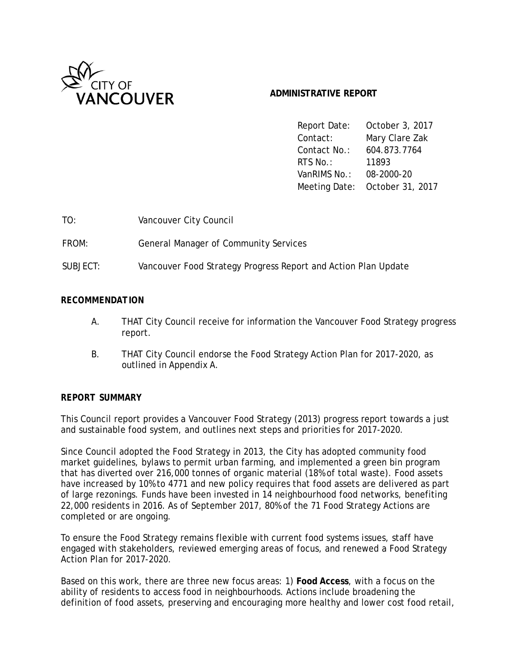

# **ADMINISTRATIVE REPORT**

Report Date: October 3, 2017 Contact: Mary Clare Zak Contact No.: 604.873.7764 RTS No.: 11893 VanRIMS No.: 08-2000-20 Meeting Date: October 31, 2017

FROM: General Manager of Community Services

SUBJECT: Vancouver Food Strategy Progress Report and Action Plan Update

# *RECOMMENDATION*

- A. THAT City Council receive for information the Vancouver Food Strategy progress report.
- B. THAT City Council endorse the Food Strategy Action Plan for 2017-2020, as outlined in Appendix A.

# *REPORT SUMMARY*

This Council report provides a Vancouver Food Strategy (2013) progress report towards a just and sustainable food system, and outlines next steps and priorities for 2017-2020.

Since Council adopted the Food Strategy in 2013, the City has adopted community food market guidelines, bylaws to permit urban farming, and implemented a green bin program that has diverted over 216,000 tonnes of organic material (18% of total waste). Food assets have increased by 10% to 4771 and new policy requires that food assets are delivered as part of large rezonings. Funds have been invested in 14 neighbourhood food networks, benefiting 22,000 residents in 2016. As of September 2017, 80% of the 71 Food Strategy Actions are completed or are ongoing.

To ensure the Food Strategy remains flexible with current food systems issues, staff have engaged with stakeholders, reviewed emerging areas of focus, and renewed a Food Strategy Action Plan for 2017-2020.

Based on this work, there are three new focus areas: 1) **Food Access**, with a focus on the ability of residents to access food in neighbourhoods. Actions include broadening the definition of food assets, preserving and encouraging more healthy and lower cost food retail,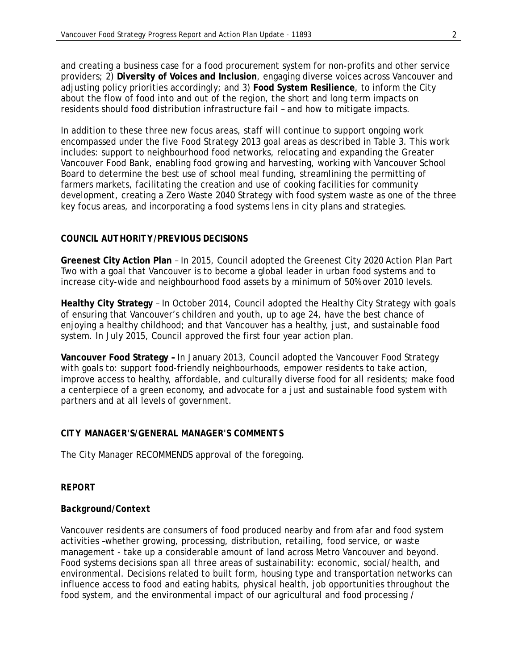and creating a business case for a food procurement system for non-profits and other service providers; 2) **Diversity of Voices and Inclusion**, engaging diverse voices across Vancouver and adjusting policy priorities accordingly; and 3) **Food System Resilience**, to inform the City about the flow of food into and out of the region, the short and long term impacts on residents should food distribution infrastructure fail – and how to mitigate impacts.

In addition to these three new focus areas, staff will continue to support ongoing work encompassed under the five Food Strategy 2013 goal areas as described in Table 3. This work includes: support to neighbourhood food networks, relocating and expanding the Greater Vancouver Food Bank, enabling food growing and harvesting, working with Vancouver School Board to determine the best use of school meal funding, streamlining the permitting of farmers markets, facilitating the creation and use of cooking facilities for community development, creating a Zero Waste 2040 Strategy with food system waste as one of the three key focus areas, and incorporating a food systems lens in city plans and strategies.

## *COUNCIL AUTHORITY/PREVIOUS DECISIONS*

**Greenest City Action Plan** – In 2015, Council adopted the Greenest City 2020 Action Plan Part Two with a goal that Vancouver is to become a global leader in urban food systems and to increase city-wide and neighbourhood food assets by a minimum of 50% over 2010 levels.

**Healthy City Strategy** – In October 2014, Council adopted the Healthy City Strategy with goals of ensuring that Vancouver's children and youth, up to age 24, have the best chance of enjoying a healthy childhood; and that Vancouver has a healthy, just, and sustainable food system. In July 2015, Council approved the first four year action plan.

**Vancouver Food Strategy –** In January 2013, Council adopted the Vancouver Food Strategy with goals to: support food-friendly neighbourhoods, empower residents to take action, improve access to healthy, affordable, and culturally diverse food for all residents; make food a centerpiece of a green economy, and advocate for a just and sustainable food system with partners and at all levels of government.

## *CITY MANAGER'S/GENERAL MANAGER'S COMMENTS*

The City Manager RECOMMENDS approval of the foregoing.

## *REPORT*

## *Background/Context*

Vancouver residents are consumers of food produced nearby and from afar and food system activities –whether growing, processing, distribution, retailing, food service, or waste management - take up a considerable amount of land across Metro Vancouver and beyond. Food systems decisions span all three areas of sustainability: economic, social/health, and environmental. Decisions related to built form, housing type and transportation networks can influence access to food and eating habits, physical health, job opportunities throughout the food system, and the environmental impact of our agricultural and food processing /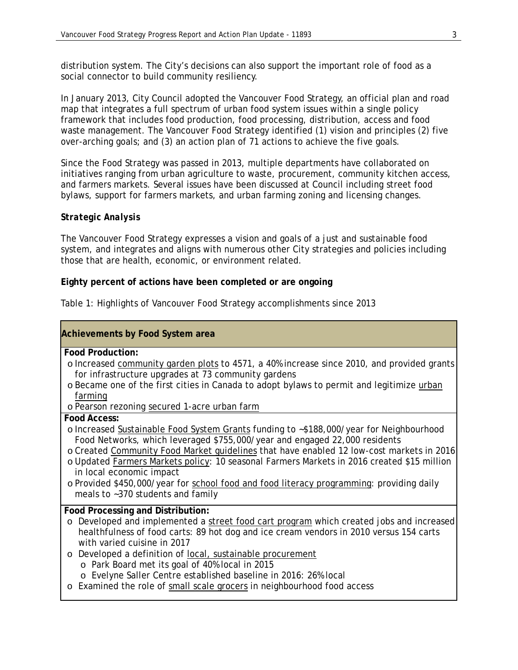distribution system. The City's decisions can also support the important role of food as a social connector to build community resiliency.

In January 2013, City Council adopted the Vancouver Food Strategy, an official plan and road map that integrates a full spectrum of urban food system issues within a single policy framework that includes food production, food processing, distribution, access and food waste management. The Vancouver Food Strategy identified (1) vision and principles (2) five over-arching goals; and (3) an action plan of 71 actions to achieve the five goals.

Since the Food Strategy was passed in 2013, multiple departments have collaborated on initiatives ranging from urban agriculture to waste, procurement, community kitchen access, and farmers markets. Several issues have been discussed at Council including street food bylaws, support for farmers markets, and urban farming zoning and licensing changes.

## *Strategic Analysis*

The Vancouver Food Strategy expresses a vision and goals of a just and sustainable food system, and integrates and aligns with numerous other City strategies and policies including those that are health, economic, or environment related.

## **Eighty percent of actions have been completed or are ongoing**

|  | Table 1: Highlights of Vancouver Food Strategy accomplishments since 2013 |  |  |
|--|---------------------------------------------------------------------------|--|--|
|  |                                                                           |  |  |

| <b>Achievements by Food System area</b>                                                                                                                                                                                                                                                                                                                                                                                                                                                                                                             |
|-----------------------------------------------------------------------------------------------------------------------------------------------------------------------------------------------------------------------------------------------------------------------------------------------------------------------------------------------------------------------------------------------------------------------------------------------------------------------------------------------------------------------------------------------------|
| <b>Food Production:</b><br>o Increased community garden plots to 4571, a 40% increase since 2010, and provided grants<br>for infrastructure upgrades at 73 community gardens<br>o Became one of the first cities in Canada to adopt bylaws to permit and legitimize urban<br>farming<br>o Pearson rezoning secured 1-acre urban farm                                                                                                                                                                                                                |
| <b>Food Access:</b><br>o Increased Sustainable Food System Grants funding to ~\$188,000/year for Neighbourhood<br>Food Networks, which leveraged \$755,000/year and engaged 22,000 residents<br>o Created Community Food Market guidelines that have enabled 12 low-cost markets in 2016<br>o Updated Farmers Markets policy: 10 seasonal Farmers Markets in 2016 created \$15 million<br>in local economic impact<br>o Provided \$450,000/year for school food and food literacy programming: providing daily<br>meals to ~370 students and family |
| Food Processing and Distribution:<br>o Developed and implemented a street food cart program which created jobs and increased<br>healthfulness of food carts: 89 hot dog and ice cream vendors in 2010 versus 154 carts<br>with varied cuisine in 2017<br>Developed a definition of local, sustainable procurement<br>$\circ$<br>o Park Board met its goal of 40% local in 2015<br>o Evelyne Saller Centre established baseline in 2016: 26% local<br>o Examined the role of small scale grocers in neighbourhood food access                        |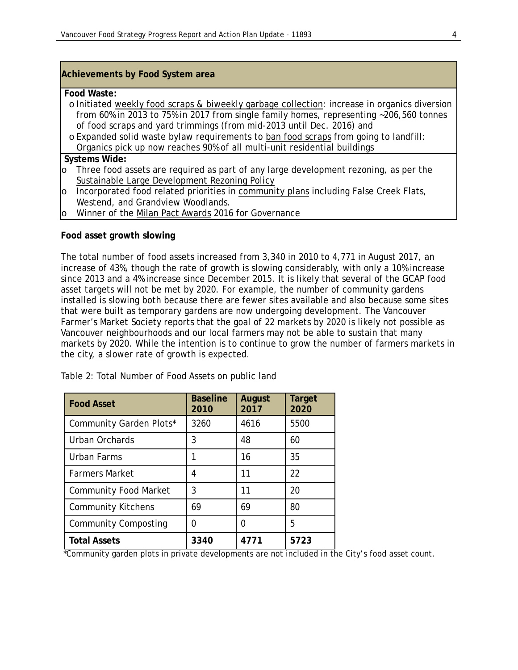## **Achievements by Food System area**

#### **Food Waste:**

- o Initiated weekly food scraps & biweekly garbage collection: increase in organics diversion from 60% in 2013 to 75% in 2017 from single family homes, representing ~206,560 tonnes of food scraps and yard trimmings (from mid-2013 until Dec. 2016) and
- o Expanded solid waste bylaw requirements to ban food scraps from going to landfill: Organics pick up now reaches 90% of all multi-unit residential buildings

#### **Systems Wide:**

- o Three food assets are required as part of any large development rezoning, as per the Sustainable Large Development Rezoning Policy
- $\circ$  Incorporated food related priorities in community plans including False Creek Flats, Westend, and Grandview Woodlands.
- Winner of the Milan Pact Awards 2016 for Governance

#### **Food asset growth slowing**

The total number of food assets increased from 3,340 in 2010 to 4,771 in August 2017, an increase of 43%, though the rate of growth is slowing considerably, with only a 10% increase since 2013 and a 4% increase since December 2015. It is likely that several of the GCAP food asset targets will not be met by 2020. For example, the number of community gardens installed is slowing both because there are fewer sites available and also because some sites that were built as temporary gardens are now undergoing development. The Vancouver Farmer's Market Society reports that the goal of 22 markets by 2020 is likely not possible as Vancouver neighbourhoods and our local farmers may not be able to sustain that many markets by 2020. While the intention is to continue to grow the number of farmers markets in the city, a slower rate of growth is expected.

| <b>Food Asset</b>            | <b>Baseline</b><br>2010 | August<br>2017 | <b>Target</b><br>2020 |
|------------------------------|-------------------------|----------------|-----------------------|
| Community Garden Plots*      | 3260                    | 4616           | 5500                  |
| Urban Orchards               | 3                       | 48             | 60                    |
| Urban Farms                  | 1                       | 16             | 35                    |
| <b>Farmers Market</b>        | 4                       | 11             | 22                    |
| <b>Community Food Market</b> | 3                       | 11             | 20                    |
| <b>Community Kitchens</b>    | 69                      | 69             | 80                    |
| <b>Community Composting</b>  | 0                       | 0              | 5                     |
| <b>Total Assets</b>          | 3340                    | 4771           | 5723                  |

Table 2: Total Number of Food Assets on public land

\*Community garden plots in private developments are not included in the City's food asset count.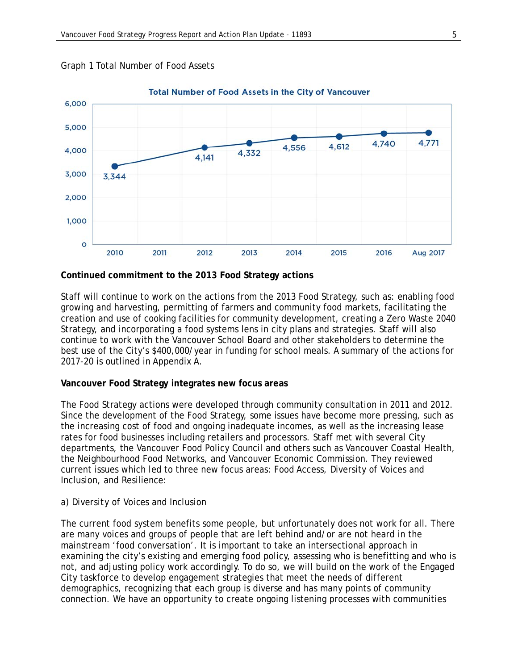

#### Graph 1 Total Number of Food Assets

## **Continued commitment to the 2013 Food Strategy actions**

Staff will continue to work on the actions from the 2013 Food Strategy, such as: enabling food growing and harvesting, permitting of farmers and community food markets, facilitating the creation and use of cooking facilities for community development, creating a Zero Waste 2040 Strategy, and incorporating a food systems lens in city plans and strategies. Staff will also continue to work with the Vancouver School Board and other stakeholders to determine the best use of the City's \$400,000/year in funding for school meals. A summary of the actions for 2017-20 is outlined in Appendix A.

## **Vancouver Food Strategy integrates new focus areas**

The Food Strategy actions were developed through community consultation in 2011 and 2012. Since the development of the Food Strategy, some issues have become more pressing, such as the increasing cost of food and ongoing inadequate incomes, as well as the increasing lease rates for food businesses including retailers and processors. Staff met with several City departments, the Vancouver Food Policy Council and others such as Vancouver Coastal Health, the Neighbourhood Food Networks, and Vancouver Economic Commission. They reviewed current issues which led to three new focus areas: Food Access, Diversity of Voices and Inclusion, and Resilience:

## *a) Diversity of Voices and Inclusion*

The current food system benefits some people, but unfortunately does not work for all. There are many voices and groups of people that are left behind and/or are not heard in the mainstream 'food conversation'. It is important to take an intersectional approach in examining the city's existing and emerging food policy, assessing who is benefitting and who is not, and adjusting policy work accordingly. To do so, we will build on the work of the Engaged City taskforce to develop engagement strategies that meet the needs of different demographics, recognizing that each group is diverse and has many points of community connection. We have an opportunity to create ongoing listening processes with communities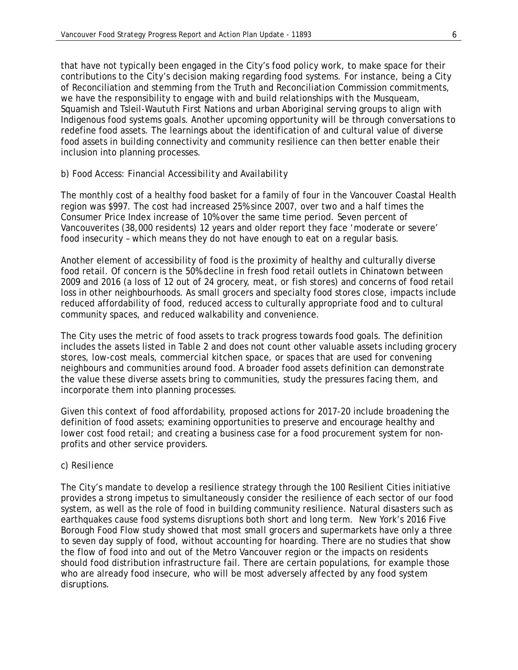that have not typically been engaged in the City's food policy work, to make space for their contributions to the City's decision making regarding food systems. For instance, being a City of Reconciliation and stemming from the Truth and Reconciliation Commission commitments, we have the responsibility to engage with and build relationships with the Musqueam, Squamish and Tsleil-Waututh First Nations and urban Aboriginal serving groups to align with Indigenous food systems goals. Another upcoming opportunity will be through conversations to redefine food assets. The learnings about the identification of and cultural value of diverse food assets in building connectivity and community resilience can then better enable their inclusion into planning processes.

## *b) Food Access: Financial Accessibility and Availability*

The monthly cost of a healthy food basket for a family of four in the Vancouver Coastal Health region was \$997. The cost had increased 25% since 2007, over two and a half times the Consumer Price Index increase of 10% over the same time period. Seven percent of Vancouverites (38,000 residents) 12 years and older report they face 'moderate or severe' food insecurity – which means they do not have enough to eat on a regular basis.

Another element of accessibility of food is the proximity of healthy and culturally diverse food retail. Of concern is the 50% decline in fresh food retail outlets in Chinatown between 2009 and 2016 (a loss of 12 out of 24 grocery, meat, or fish stores) and concerns of food retail loss in other neighbourhoods. As small grocers and specialty food stores close, impacts include reduced affordability of food, reduced access to culturally appropriate food and to cultural community spaces, and reduced walkability and convenience.

The City uses the metric of food assets to track progress towards food goals. The definition includes the assets listed in Table 2 and does not count other valuable assets including grocery stores, low-cost meals, commercial kitchen space, or spaces that are used for convening neighbours and communities around food. A broader food assets definition can demonstrate the value these diverse assets bring to communities, study the pressures facing them, and incorporate them into planning processes.

Given this context of food affordability, proposed actions for 2017-20 include broadening the definition of food assets; examining opportunities to preserve and encourage healthy and lower cost food retail; and creating a business case for a food procurement system for nonprofits and other service providers.

#### *c) Resilience*

The City's mandate to develop a resilience strategy through the 100 Resilient Cities initiative provides a strong impetus to simultaneously consider the resilience of each sector of our food system, as well as the role of food in building community resilience. Natural disasters such as earthquakes cause food systems disruptions both short and long term. New York's 2016 Five Borough Food Flow study showed that most small grocers and supermarkets have only a three to seven day supply of food, without accounting for hoarding. There are no studies that show the flow of food into and out of the Metro Vancouver region or the impacts on residents should food distribution infrastructure fail. There are certain populations, for example those who are already food insecure, who will be most adversely affected by any food system disruptions.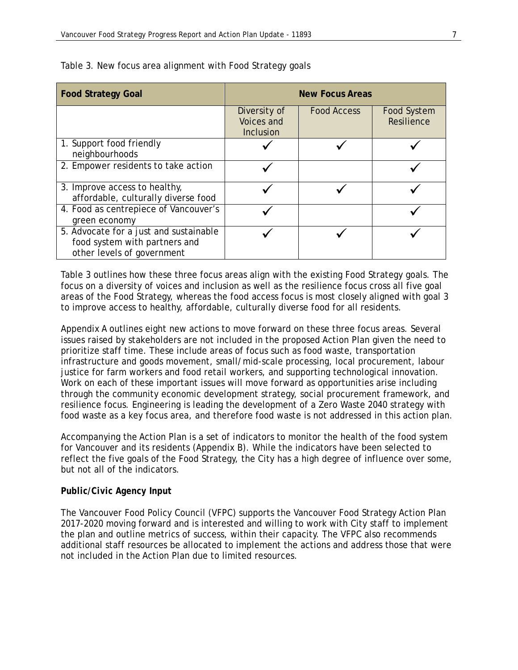| <b>Food Strategy Goal</b>                                                                             |                                                       | <b>New Focus Areas</b> |                                  |
|-------------------------------------------------------------------------------------------------------|-------------------------------------------------------|------------------------|----------------------------------|
|                                                                                                       | Diversity of<br><b>Voices and</b><br><b>Inclusion</b> | <b>Food Access</b>     | <b>Food System</b><br>Resilience |
| 1. Support food friendly<br>neighbourhoods                                                            |                                                       |                        |                                  |
| 2. Empower residents to take action                                                                   |                                                       |                        |                                  |
| 3. Improve access to healthy,<br>affordable, culturally diverse food                                  |                                                       |                        |                                  |
| 4. Food as centrepiece of Vancouver's<br>green economy                                                |                                                       |                        |                                  |
| 5. Advocate for a just and sustainable<br>food system with partners and<br>other levels of government |                                                       |                        |                                  |

Table 3. New focus area alignment with Food Strategy goals

Table 3 outlines how these three focus areas align with the existing Food Strategy goals. The focus on a diversity of voices and inclusion as well as the resilience focus cross all five goal areas of the Food Strategy, whereas the food access focus is most closely aligned with goal 3 to improve access to healthy, affordable, culturally diverse food for all residents.

Appendix A outlines eight new actions to move forward on these three focus areas. Several issues raised by stakeholders are not included in the proposed Action Plan given the need to prioritize staff time. These include areas of focus such as food waste, transportation infrastructure and goods movement, small/mid-scale processing, local procurement, labour justice for farm workers and food retail workers, and supporting technological innovation. Work on each of these important issues will move forward as opportunities arise including through the community economic development strategy, social procurement framework, and resilience focus. Engineering is leading the development of a Zero Waste 2040 strategy with food waste as a key focus area, and therefore food waste is not addressed in this action plan.

Accompanying the Action Plan is a set of indicators to monitor the health of the food system for Vancouver and its residents (Appendix B). While the indicators have been selected to reflect the five goals of the Food Strategy, the City has a high degree of influence over some, but not all of the indicators.

## *Public/Civic Agency Input*

The Vancouver Food Policy Council (VFPC) supports the Vancouver Food Strategy Action Plan 2017-2020 moving forward and is interested and willing to work with City staff to implement the plan and outline metrics of success, within their capacity. The VFPC also recommends additional staff resources be allocated to implement the actions and address those that were not included in the Action Plan due to limited resources.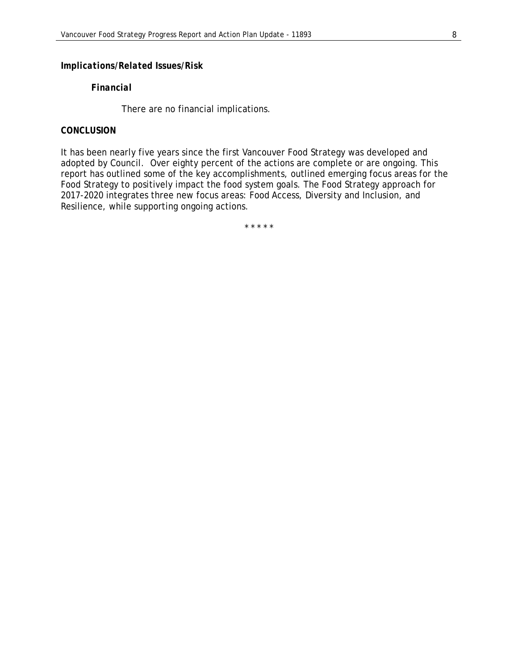## *Implications/Related Issues/Risk*

#### *Financial*

There are no financial implications.

# *CONCLUSION*

It has been nearly five years since the first Vancouver Food Strategy was developed and adopted by Council. Over eighty percent of the actions are complete or are ongoing. This report has outlined some of the key accomplishments, outlined emerging focus areas for the Food Strategy to positively impact the food system goals. The Food Strategy approach for 2017-2020 integrates three new focus areas: Food Access, Diversity and Inclusion, and Resilience, while supporting ongoing actions.

\* \* \* \* \*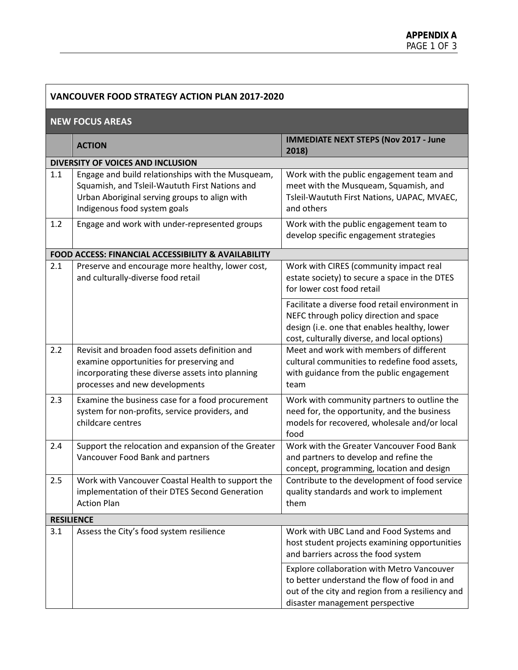| <b>VANCOUVER FOOD STRATEGY ACTION PLAN 2017-2020</b> |                                                                                                                                                                                      |                                                                                                                                                                                            |  |  |
|------------------------------------------------------|--------------------------------------------------------------------------------------------------------------------------------------------------------------------------------------|--------------------------------------------------------------------------------------------------------------------------------------------------------------------------------------------|--|--|
| <b>NEW FOCUS AREAS</b>                               |                                                                                                                                                                                      |                                                                                                                                                                                            |  |  |
|                                                      | <b>ACTION</b>                                                                                                                                                                        | <b>IMMEDIATE NEXT STEPS (Nov 2017 - June</b><br>2018)                                                                                                                                      |  |  |
|                                                      | DIVERSITY OF VOICES AND INCLUSION                                                                                                                                                    |                                                                                                                                                                                            |  |  |
| 1.1                                                  | Engage and build relationships with the Musqueam,<br>Squamish, and Tsleil-Waututh First Nations and<br>Urban Aboriginal serving groups to align with<br>Indigenous food system goals | Work with the public engagement team and<br>meet with the Musqueam, Squamish, and<br>Tsleil-Waututh First Nations, UAPAC, MVAEC,<br>and others                                             |  |  |
| 1.2                                                  | Engage and work with under-represented groups                                                                                                                                        | Work with the public engagement team to<br>develop specific engagement strategies                                                                                                          |  |  |
|                                                      | <b>FOOD ACCESS: FINANCIAL ACCESSIBILITY &amp; AVAILABILITY</b>                                                                                                                       |                                                                                                                                                                                            |  |  |
| 2.1                                                  | Preserve and encourage more healthy, lower cost,<br>and culturally-diverse food retail                                                                                               | Work with CIRES (community impact real<br>estate society) to secure a space in the DTES<br>for lower cost food retail                                                                      |  |  |
|                                                      |                                                                                                                                                                                      | Facilitate a diverse food retail environment in<br>NEFC through policy direction and space<br>design (i.e. one that enables healthy, lower<br>cost, culturally diverse, and local options) |  |  |
| 2.2                                                  | Revisit and broaden food assets definition and<br>examine opportunities for preserving and<br>incorporating these diverse assets into planning<br>processes and new developments     | Meet and work with members of different<br>cultural communities to redefine food assets,<br>with guidance from the public engagement<br>team                                               |  |  |
| 2.3                                                  | Examine the business case for a food procurement<br>system for non-profits, service providers, and<br>childcare centres                                                              | Work with community partners to outline the<br>need for, the opportunity, and the business<br>models for recovered, wholesale and/or local<br>food                                         |  |  |
| 2.4                                                  | Support the relocation and expansion of the Greater<br>Vancouver Food Bank and partners                                                                                              | Work with the Greater Vancouver Food Bank<br>and partners to develop and refine the<br>concept, programming, location and design                                                           |  |  |
| 2.5                                                  | Work with Vancouver Coastal Health to support the<br>implementation of their DTES Second Generation<br><b>Action Plan</b>                                                            | Contribute to the development of food service<br>quality standards and work to implement<br>them                                                                                           |  |  |
| <b>RESILIENCE</b>                                    |                                                                                                                                                                                      |                                                                                                                                                                                            |  |  |
| 3.1                                                  | Assess the City's food system resilience                                                                                                                                             | Work with UBC Land and Food Systems and<br>host student projects examining opportunities<br>and barriers across the food system                                                            |  |  |
|                                                      |                                                                                                                                                                                      | Explore collaboration with Metro Vancouver<br>to better understand the flow of food in and<br>out of the city and region from a resiliency and<br>disaster management perspective          |  |  |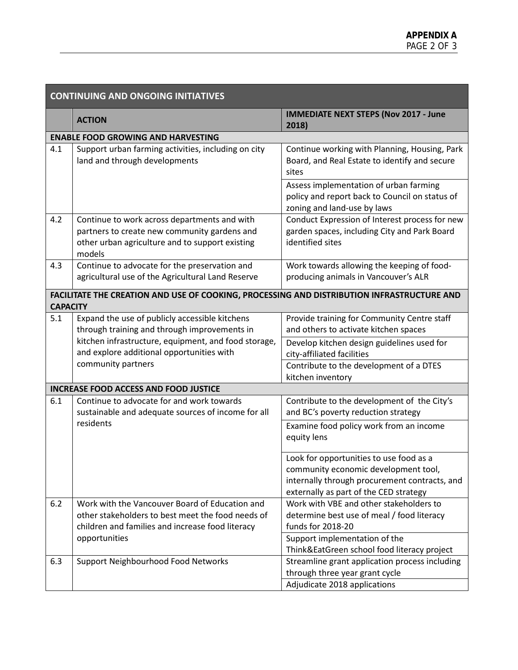| <b>CONTINUING AND ONGOING INITIATIVES</b> |                                                                                                                                                           |                                                                                                                                                                            |  |
|-------------------------------------------|-----------------------------------------------------------------------------------------------------------------------------------------------------------|----------------------------------------------------------------------------------------------------------------------------------------------------------------------------|--|
|                                           | <b>ACTION</b>                                                                                                                                             | <b>IMMEDIATE NEXT STEPS (Nov 2017 - June</b><br>2018)                                                                                                                      |  |
|                                           | <b>ENABLE FOOD GROWING AND HARVESTING</b>                                                                                                                 |                                                                                                                                                                            |  |
| 4.1                                       | Support urban farming activities, including on city<br>land and through developments                                                                      | Continue working with Planning, Housing, Park<br>Board, and Real Estate to identify and secure<br>sites                                                                    |  |
|                                           |                                                                                                                                                           | Assess implementation of urban farming<br>policy and report back to Council on status of<br>zoning and land-use by laws                                                    |  |
| 4.2                                       | Continue to work across departments and with<br>partners to create new community gardens and<br>other urban agriculture and to support existing<br>models | Conduct Expression of Interest process for new<br>garden spaces, including City and Park Board<br>identified sites                                                         |  |
| 4.3                                       | Continue to advocate for the preservation and<br>agricultural use of the Agricultural Land Reserve                                                        | Work towards allowing the keeping of food-<br>producing animals in Vancouver's ALR                                                                                         |  |
| <b>CAPACITY</b>                           | FACILITATE THE CREATION AND USE OF COOKING, PROCESSING AND DISTRIBUTION INFRASTRUCTURE AND                                                                |                                                                                                                                                                            |  |
| 5.1                                       | Expand the use of publicly accessible kitchens<br>through training and through improvements in                                                            | Provide training for Community Centre staff<br>and others to activate kitchen spaces                                                                                       |  |
|                                           | kitchen infrastructure, equipment, and food storage,<br>and explore additional opportunities with                                                         | Develop kitchen design guidelines used for<br>city-affiliated facilities                                                                                                   |  |
|                                           | community partners                                                                                                                                        | Contribute to the development of a DTES<br>kitchen inventory                                                                                                               |  |
|                                           | <b>INCREASE FOOD ACCESS AND FOOD JUSTICE</b>                                                                                                              |                                                                                                                                                                            |  |
| 6.1                                       | Continue to advocate for and work towards<br>sustainable and adequate sources of income for all                                                           | Contribute to the development of the City's<br>and BC's poverty reduction strategy                                                                                         |  |
|                                           | residents                                                                                                                                                 | Examine food policy work from an income<br>equity lens                                                                                                                     |  |
|                                           |                                                                                                                                                           | Look for opportunities to use food as a<br>community economic development tool,<br>internally through procurement contracts, and<br>externally as part of the CED strategy |  |
| 6.2                                       | Work with the Vancouver Board of Education and<br>other stakeholders to best meet the food needs of<br>children and families and increase food literacy   | Work with VBE and other stakeholders to<br>determine best use of meal / food literacy<br>funds for 2018-20                                                                 |  |
|                                           | opportunities                                                                                                                                             | Support implementation of the<br>Think&EatGreen school food literacy project                                                                                               |  |
| 6.3                                       | Support Neighbourhood Food Networks                                                                                                                       | Streamline grant application process including<br>through three year grant cycle<br>Adjudicate 2018 applications                                                           |  |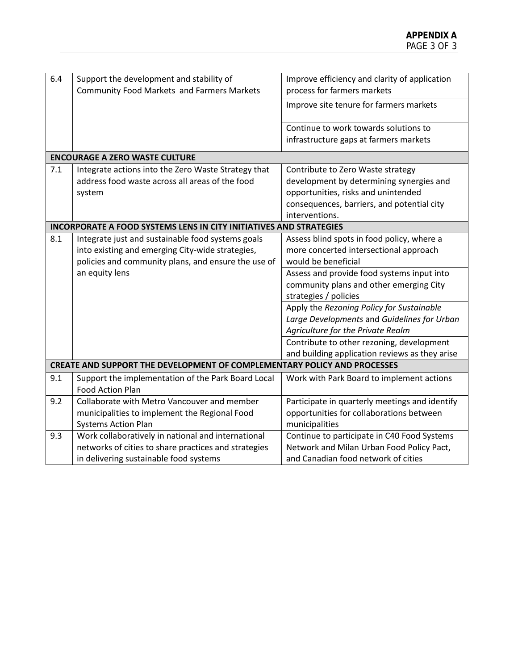| 6.4                                                                             | Support the development and stability of<br><b>Community Food Markets and Farmers Markets</b> | Improve efficiency and clarity of application<br>process for farmers markets |  |  |
|---------------------------------------------------------------------------------|-----------------------------------------------------------------------------------------------|------------------------------------------------------------------------------|--|--|
|                                                                                 |                                                                                               |                                                                              |  |  |
|                                                                                 |                                                                                               | Improve site tenure for farmers markets                                      |  |  |
|                                                                                 |                                                                                               | Continue to work towards solutions to                                        |  |  |
|                                                                                 |                                                                                               | infrastructure gaps at farmers markets                                       |  |  |
|                                                                                 | <b>ENCOURAGE A ZERO WASTE CULTURE</b>                                                         |                                                                              |  |  |
| 7.1                                                                             | Integrate actions into the Zero Waste Strategy that                                           | Contribute to Zero Waste strategy                                            |  |  |
|                                                                                 | address food waste across all areas of the food                                               | development by determining synergies and                                     |  |  |
|                                                                                 | system                                                                                        | opportunities, risks and unintended                                          |  |  |
|                                                                                 |                                                                                               | consequences, barriers, and potential city                                   |  |  |
|                                                                                 |                                                                                               | interventions.                                                               |  |  |
|                                                                                 | <b>INCORPORATE A FOOD SYSTEMS LENS IN CITY INITIATIVES AND STRATEGIES</b>                     |                                                                              |  |  |
| 8.1                                                                             | Integrate just and sustainable food systems goals                                             | Assess blind spots in food policy, where a                                   |  |  |
|                                                                                 | into existing and emerging City-wide strategies,                                              | more concerted intersectional approach                                       |  |  |
|                                                                                 | policies and community plans, and ensure the use of                                           | would be beneficial                                                          |  |  |
|                                                                                 | an equity lens                                                                                | Assess and provide food systems input into                                   |  |  |
|                                                                                 |                                                                                               | community plans and other emerging City                                      |  |  |
|                                                                                 |                                                                                               | strategies / policies                                                        |  |  |
|                                                                                 |                                                                                               | Apply the Rezoning Policy for Sustainable                                    |  |  |
|                                                                                 |                                                                                               | Large Developments and Guidelines for Urban                                  |  |  |
|                                                                                 |                                                                                               | Agriculture for the Private Realm                                            |  |  |
|                                                                                 |                                                                                               | Contribute to other rezoning, development                                    |  |  |
|                                                                                 |                                                                                               | and building application reviews as they arise                               |  |  |
| <b>CREATE AND SUPPORT THE DEVELOPMENT OF COMPLEMENTARY POLICY AND PROCESSES</b> |                                                                                               |                                                                              |  |  |
| 9.1                                                                             | Support the implementation of the Park Board Local                                            | Work with Park Board to implement actions                                    |  |  |
|                                                                                 | <b>Food Action Plan</b>                                                                       |                                                                              |  |  |
| 9.2                                                                             | Collaborate with Metro Vancouver and member                                                   | Participate in quarterly meetings and identify                               |  |  |
|                                                                                 | municipalities to implement the Regional Food                                                 | opportunities for collaborations between                                     |  |  |
|                                                                                 | <b>Systems Action Plan</b>                                                                    | municipalities                                                               |  |  |
| 9.3                                                                             | Work collaboratively in national and international                                            | Continue to participate in C40 Food Systems                                  |  |  |
|                                                                                 | networks of cities to share practices and strategies                                          | Network and Milan Urban Food Policy Pact,                                    |  |  |
|                                                                                 | in delivering sustainable food systems                                                        | and Canadian food network of cities                                          |  |  |